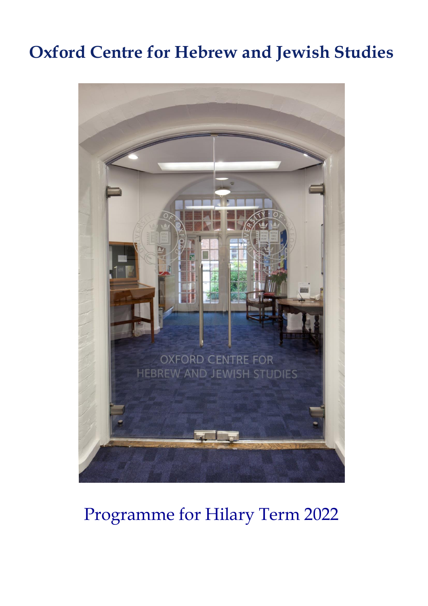## **Oxford Centre for Hebrew and Jewish Studies**



## Programme for Hilary Term 2022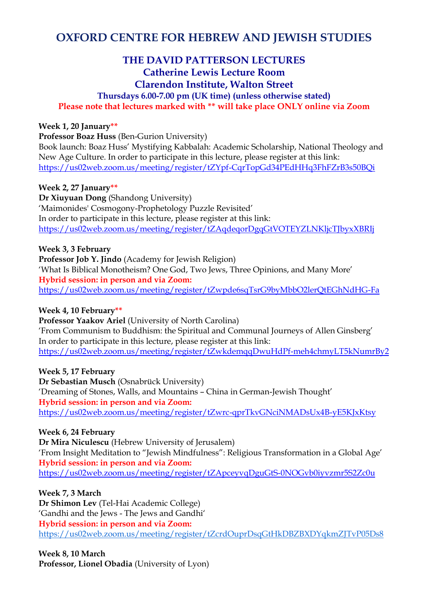## **OXFORD CENTRE FOR HEBREW AND JEWISH STUDIES**

## **THE DAVID PATTERSON LECTURES Catherine Lewis Lecture Room Clarendon Institute, Walton Street**

## **Thursdays 6.00-7.00 pm (UK time) (unless otherwise stated) Please note that lectures marked with \*\* will take place ONLY online via Zoom**

#### **Week 1, 20 January\*\***

**Professor Boaz Huss** (Ben-Gurion University)

Book launch: Boaz Huss' Mystifying Kabbalah: Academic Scholarship, National Theology and New Age Culture. In order to participate in this lecture, please register at this link: <https://us02web.zoom.us/meeting/register/tZYpf-CqrTopGd34PEdHHq3FhFZrB3s50BQi>

#### **Week 2, 27 January\*\***

**Dr Xiuyuan Dong** (Shandong University) 'Maimonides' Cosmogony-Prophetology Puzzle Revisited' In order to participate in this lecture, please register at this link: <https://us02web.zoom.us/meeting/register/tZAqdeqorDgqGtVOTEYZLNKljcTJbyxXBRIj>

#### **Week 3, 3 February**

**Professor Job Y. Jindo** (Academy for Jewish Religion) 'What Is Biblical Monotheism? One God, Two Jews, Three Opinions, and Many More' **Hybrid session: in person and via Zoom:** <https://us02web.zoom.us/meeting/register/tZwpde6sqTsrG9byMbbO2lerQtEGhNdHG-Fa>

#### **Week 4, 10 February\*\***

**Professor Yaakov Ariel** (University of North Carolina) 'From Communism to Buddhism: the Spiritual and Communal Journeys of Allen Ginsberg' In order to participate in this lecture, please register at this link: <https://us02web.zoom.us/meeting/register/tZwkdemqqDwuHdPf-meh4chmyLT5kNumrBy2>

#### **Week 5, 17 February**

**Dr Sebastian Musch** (Osnabrück University) 'Dreaming of Stones, Walls, and Mountains – China in German-Jewish Thought' **Hybrid session: in person and via Zoom:** <https://us02web.zoom.us/meeting/register/tZwrc-qprTkvGNciNMADsUx4B-yE5KJxKtsy>

#### **Week 6, 24 February**

**Dr Mira Niculescu** (Hebrew University of Jerusalem) 'From Insight Meditation to "Jewish Mindfulness": Religious Transformation in a Global Age' **Hybrid session: in person and via Zoom:** <https://us02web.zoom.us/meeting/register/tZApceyvqDguGtS-0NOGvb0iyvzmr5S2Zc0u>

#### **Week 7, 3 March**

**Dr Shimon Lev** (Tel-Hai Academic College) 'Gandhi and the Jews - The Jews and Gandhi' **Hybrid session: in person and via Zoom:** <https://us02web.zoom.us/meeting/register/tZcrdOuprDsqGtHkDBZBXDYqkmZJTvP05Ds8>

## **Week 8, 10 March**

**Professor, Lionel Obadia** (University of Lyon)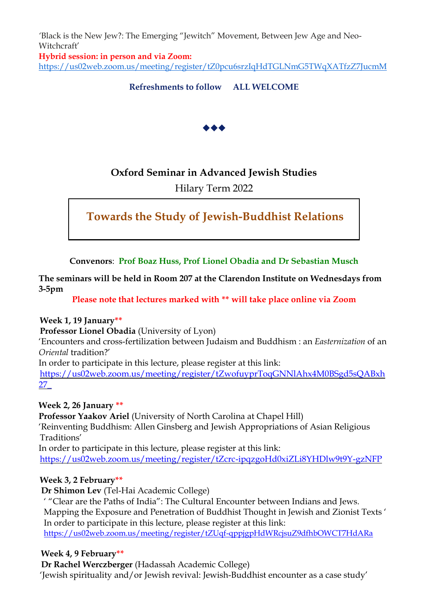*'*Black is the New Jew?: The Emerging "Jewitch" Movement, Between Jew Age and Neo-Witchcraft' **Hybrid session: in person and via Zoom:** <https://us02web.zoom.us/meeting/register/tZ0pcu6srzIqHdTGLNmG5TWqXATfzZ7JucmM>

**Refreshments to follow ALL WELCOME**



## **Oxford Seminar in Advanced Jewish Studies**

## Hilary Term 2022

## **Towards the Study of Jewish-Buddhist Relations**

**Convenors**: **Prof Boaz Huss, Prof Lionel Obadia and Dr Sebastian Musch**

**The seminars will be held in Room 207 at the Clarendon Institute on Wednesdays from 3-5pm**

**Please note that lectures marked with \*\* will take place online via Zoom**

#### **Week 1, 19 January\*\***

**Professor Lionel Obadia** (University of Lyon)

'Encounters and cross-fertilization between Judaism and Buddhism : an *Easternization* of an *Oriental* tradition?'

In order to participate in this lecture, please register at this link:

[https://us02web.zoom.us/meeting/register/tZwofuyprToqGNNlAhx4M0BSgd5sQABxh](https://us02web.zoom.us/meeting/register/tZwofuyprToqGNNlAhx4M0BSgd5sQABxh27_) [27\\_](https://us02web.zoom.us/meeting/register/tZwofuyprToqGNNlAhx4M0BSgd5sQABxh27_)

**Week 2, 26 January \*\***

**Professor Yaakov Ariel** (University of North Carolina at Chapel Hill) 'Reinventing Buddhism: Allen Ginsberg and Jewish Appropriations of Asian Religious Traditions' In order to participate in this lecture, please register at this link:

<https://us02web.zoom.us/meeting/register/tZcrc-ipqzgoHd0xiZLi8YHDlw9t9Y-gzNFP>

#### **Week 3, 2 February\*\***

**Dr Shimon Lev** (Tel-Hai Academic College)

' "Clear are the Paths of India": The Cultural Encounter between Indians and Jews. Mapping the Exposure and Penetration of Buddhist Thought in Jewish and Zionist Texts ' In order to participate in this lecture, please register at this link: <https://us02web.zoom.us/meeting/register/tZUqf-qppjgpHdWRcjsuZ9dfhbOWCT7HdARa>

#### **Week 4, 9 February\*\***

**Dr Rachel Werczberger** (Hadassah Academic College) 'Jewish spirituality and/or Jewish revival: Jewish-Buddhist encounter as a case study'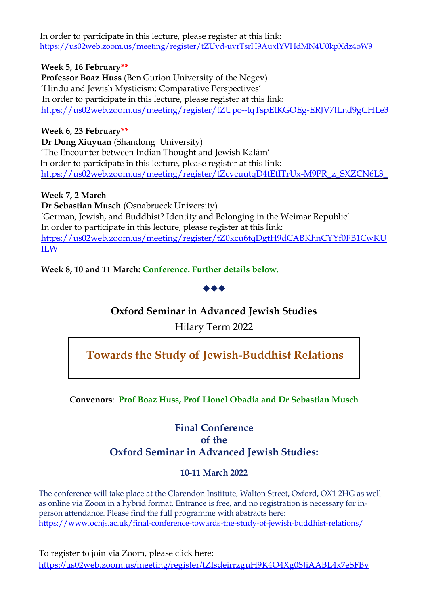In order to participate in this lecture, please register at this link: <https://us02web.zoom.us/meeting/register/tZUvd-uvrTsrH9AuxlYVHdMN4U0kpXdz4oW9>

#### **Week 5, 16 February\*\***

**Professor Boaz Huss** (Ben Gurion University of the Negev) 'Hindu and Jewish Mysticism: Comparative Perspectives' In order to participate in this lecture, please register at this link: <https://us02web.zoom.us/meeting/register/tZUpc--tqTspEtKGOEg-ERJV7tLnd9gCHLe3>

## **Week 6, 23 February\*\***

**Dr Dong Xiuyuan** (Shandong University) 'The Encounter between Indian Thought and Jewish Kalām' In order to participate in this lecture, please register at this link: [https://us02web.zoom.us/meeting/register/tZcvcuutqD4tEtITrUx-M9PR\\_z\\_SXZCN6L3\\_](https://us02web.zoom.us/meeting/register/tZcvcuutqD4tEtITrUx-M9PR_z_SXZCN6L3_)

#### **Week 7, 2 March**

**Dr Sebastian Musch** (Osnabrueck University) 'German, Jewish, and Buddhist? Identity and Belonging in the Weimar Republic' In order to participate in this lecture, please register at this link: [https://us02web.zoom.us/meeting/register/tZ0kcu6tqDgtH9dCABKhnCYYf0FB1CwKU](https://us02web.zoom.us/meeting/register/tZ0kcu6tqDgtH9dCABKhnCYYf0FB1CwKUILW) [ILW](https://us02web.zoom.us/meeting/register/tZ0kcu6tqDgtH9dCABKhnCYYf0FB1CwKUILW)

## **Week 8, 10 and 11 March: Conference. Further details below.**



## **Oxford Seminar in Advanced Jewish Studies**

Hilary Term 2022

## **Towards the Study of Jewish-Buddhist Relations**

## **Convenors**: **Prof Boaz Huss, Prof Lionel Obadia and Dr Sebastian Musch**

## **Final Conference of the Oxford Seminar in Advanced Jewish Studies:**

#### **10-11 March 2022**

The conference will take place at the Clarendon Institute, Walton Street, Oxford, OX1 2HG as well as online via Zoom in a hybrid format. Entrance is free, and no registration is necessary for inperson attendance. Please find the full programme with abstracts here: <https://www.ochjs.ac.uk/final-conference-towards-the-study-of-jewish-buddhist-relations/>

To register to join via Zoom, please click here: <https://us02web.zoom.us/meeting/register/tZIsdeirrzguH9K4O4Xg0SJiAABL4x7eSFBv>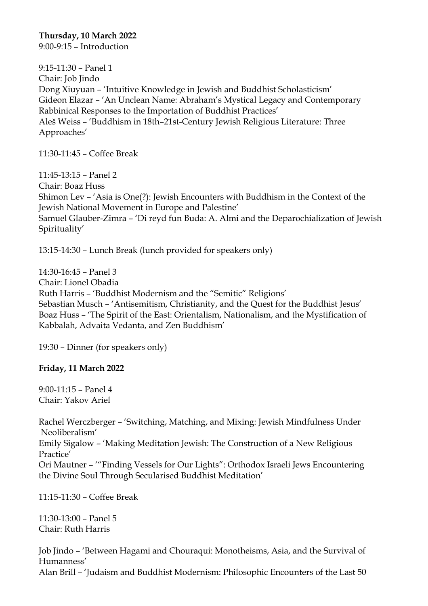**Thursday, 10 March 2022** 9:00-9:15 – Introduction

9:15-11:30 – Panel 1 Chair: Job Jindo Dong Xiuyuan – 'Intuitive Knowledge in Jewish and Buddhist Scholasticism' Gideon Elazar – 'An Unclean Name: Abraham's Mystical Legacy and Contemporary Rabbinical Responses to the Importation of Buddhist Practices' Aleš Weiss – 'Buddhism in 18th–21st-Century Jewish Religious Literature: Three Approaches'

11:30-11:45 – Coffee Break

11:45-13:15 – Panel 2 Chair: Boaz Huss Shimon Lev – 'Asia is One(?): Jewish Encounters with Buddhism in the Context of the Jewish National Movement in Europe and Palestine' Samuel Glauber-Zimra – 'Di reyd fun Buda: A. Almi and the Deparochialization of Jewish Spirituality'

13:15-14:30 – Lunch Break (lunch provided for speakers only)

14:30-16:45 – Panel 3 Chair: Lionel Obadia Ruth Harris – 'Buddhist Modernism and the "Semitic" Religions' Sebastian Musch – 'Antisemitism, Christianity, and the Quest for the Buddhist Jesus' Boaz Huss – 'The Spirit of the East: Orientalism, Nationalism, and the Mystification of Kabbalah, Advaita Vedanta, and Zen Buddhism'

19:30 – Dinner (for speakers only)

#### **Friday, 11 March 2022**

9:00-11:15 – Panel 4 Chair: Yakov Ariel

Rachel Werczberger – 'Switching, Matching, and Mixing: Jewish Mindfulness Under Neoliberalism' Emily Sigalow – 'Making Meditation Jewish: The Construction of a New Religious Practice' Ori Mautner – '"Finding Vessels for Our Lights": Orthodox Israeli Jews Encountering the Divine Soul Through Secularised Buddhist Meditation'

11:15-11:30 – Coffee Break

11:30-13:00 – Panel 5 Chair: Ruth Harris

Job Jindo – 'Between Hagami and Chouraqui: Monotheisms, Asia, and the Survival of Humanness'

Alan Brill – 'Judaism and Buddhist Modernism: Philosophic Encounters of the Last 50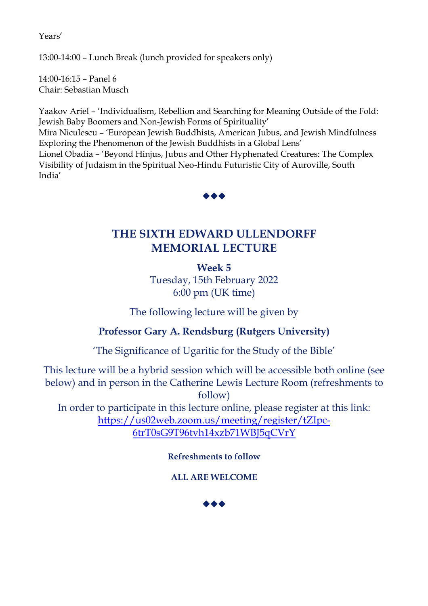Years'

13:00-14:00 – Lunch Break (lunch provided for speakers only)

14:00-16:15 – Panel 6 Chair: Sebastian Musch

Yaakov Ariel – 'Individualism, Rebellion and Searching for Meaning Outside of the Fold: Jewish Baby Boomers and Non-Jewish Forms of Spirituality'

Mira Niculescu – 'European Jewish Buddhists, American Jubus, and Jewish Mindfulness Exploring the Phenomenon of the Jewish Buddhists in a Global Lens'

Lionel Obadia – 'Beyond Hinjus, Jubus and Other Hyphenated Creatures: The Complex Visibility of Judaism in the Spiritual Neo-Hindu Futuristic City of Auroville, South India'



## **THE SIXTH EDWARD ULLENDORFF MEMORIAL LECTURE**

**Week 5** Tuesday, 15th February 2022 6:00 pm (UK time)

The following lecture will be given by

## **Professor Gary A. Rendsburg (Rutgers University)**

'The Significance of Ugaritic for the Study of the Bible'

This lecture will be a hybrid session which will be accessible both online (see below) and in person in the Catherine Lewis Lecture Room (refreshments to follow)

In order to participate in this lecture online, please register at this link: [https://us02web.zoom.us/meeting/register/tZIpc-](https://us02web.zoom.us/meeting/register/tZIpc-6trT0sG9T96tvh14xzb71WBJ5qCVrY)[6trT0sG9T96tvh14xzb71WBJ5qCVrY](https://us02web.zoom.us/meeting/register/tZIpc-6trT0sG9T96tvh14xzb71WBJ5qCVrY)

## **Refreshments to follow**

**ALL ARE WELCOME**

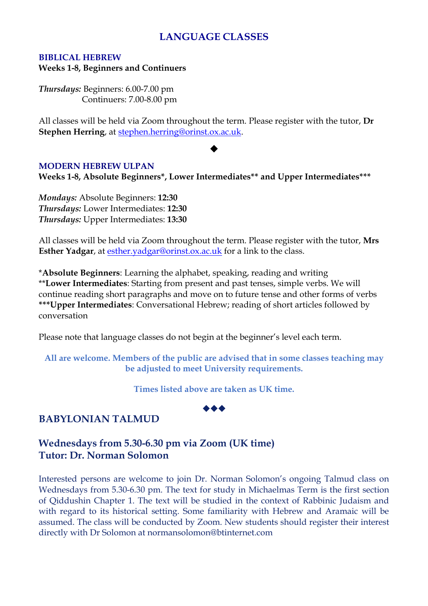## **LANGUAGE CLASSES**

## **BIBLICAL HEBREW**

**Weeks 1-8, Beginners and Continuers**

*Thursdays:* Beginners: 6.00-7.00 pm Continuers: 7.00-8.00 pm

All classes will be held via Zoom throughout the term. Please register with the tutor, **Dr Stephen Herring**, at [stephen.herring@orinst.ox.ac.uk.](mailto:stephen.herring@orinst.ox.ac.uk)

#### ◆

#### **MODERN HEBREW ULPAN**

**Weeks 1-8, Absolute Beginners\*, Lower Intermediates\*\* and Upper Intermediates\*\*\***

*Mondays:* Absolute Beginners: **12:30** *Thursdays:* Lower Intermediates: **12:30** *Thursdays:* Upper Intermediates: **13:30**

All classes will be held via Zoom throughout the term. Please register with the tutor, **Mrs Esther Yadgar**, at [esther.yadgar@orinst.ox.ac.uk](mailto:esther.yadgar@orinst.ox.ac.uk) for a link to the class.

\***Absolute Beginners**: Learning the alphabet, speaking, reading and writing \*\***Lower Intermediates**: Starting from present and past tenses, simple verbs. We will continue reading short paragraphs and move on to future tense and other forms of verbs **\*\*\*Upper Intermediates**: Conversational Hebrew; reading of short articles followed by conversation

Please note that language classes do not begin at the beginner's level each term.

**All are welcome. Members of the public are advised that in some classes teaching may be adjusted to meet University requirements.**

**Times listed above are taken as UK time.**



## **BABYLONIAN TALMUD**

## **Wednesdays from 5.30-6.30 pm via Zoom (UK time) Tutor: Dr. Norman Solomon**

Interested persons are welcome to join Dr. Norman Solomon's ongoing Talmud class on Wednesdays from 5.30-6.30 pm. The text for study in Michaelmas Term is the first section of Qiddushin Chapter 1. The text will be studied in the context of Rabbinic Judaism and with regard to its historical setting. Some familiarity with Hebrew and Aramaic will be assumed. The class will be conducted by Zoom. New students should register their interest directly with Dr Solomon at normansolomon@btinternet.com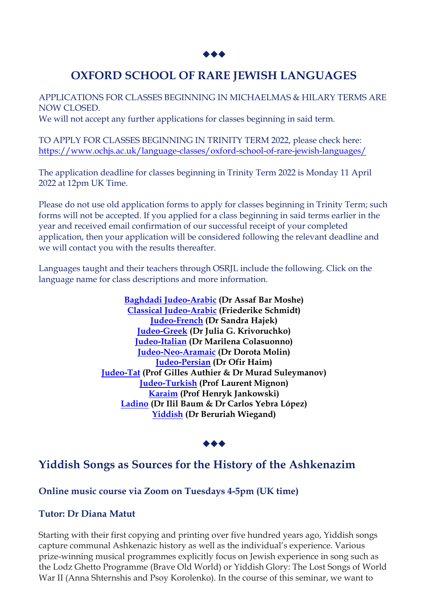

## **OXFORD SCHOOL OF RARE JEWISH LANGUAGES**

APPLICATIONS FOR CLASSES BEGINNING IN MICHAELMAS & HILARY TERMS ARE NOW CLOSED.

We will not accept any further applications for classes beginning in said term.

TO APPLY FOR CLASSES BEGINNING IN TRINITY TERM 2022, please check here: <https://www.ochjs.ac.uk/language-classes/oxford-school-of-rare-jewish-languages/>

The application deadline for classes beginning in Trinity Term 2022 is Monday 11 April 2022 at 12pm UK Time.

Please do not use old application forms to apply for classes beginning in Trinity Term; such forms will not be accepted. If you applied for a class beginning in said terms earlier in the year and received email confirmation of our successful receipt of your completed application, then your application will be considered following the relevant deadline and we will contact you with the results thereafter.

Languages taught and their teachers through OSRJL include the following. Click on the language name for class descriptions and more information.

> **[Baghdadi Judeo-Arabic](https://www.ochjs.ac.uk/language-classes/oxford-school-of-rare-jewish-languages/baghdadi-judeo-arabic/) (Dr Assaf Bar Moshe) [Classical Judeo-Arabic](https://www.ochjs.ac.uk/classical-judeo-arabic/) (Friederike Schmidt) [Judeo-French](https://www.ochjs.ac.uk/judeo-french/) (Dr Sandra Hajek) [Judeo-Greek](https://www.ochjs.ac.uk/judeo-greek/) (Dr Julia G. Krivoruchko) [Judeo-Italian](https://www.ochjs.ac.uk/judeo-italian/) (Dr Marilena Colasuonno) [Judeo-Neo-Aramaic](https://www.ochjs.ac.uk/judeo-neo-aramaic/) (Dr Dorota Molin) [Judeo-Persian](https://www.ochjs.ac.uk/judeo-persian/) (Dr Ofir Haim) [Judeo-Tat](https://www.ochjs.ac.uk/judeo-tat/) (Prof Gilles Authier & Dr Murad Suleymanov) [Judeo-Turkish](https://www.ochjs.ac.uk/judeo-turkish/) (Prof Laurent Mignon) [Karaim](https://www.ochjs.ac.uk/karaim/) (Prof Henryk Jankowski) [Ladino](https://www.ochjs.ac.uk/ladino/) (Dr Ilil Baum & Dr Carlos Yebra López) [Yiddish](https://www.ochjs.ac.uk/yiddish/) (Dr Beruriah Wiegand)**

## ◆◆◆

## **Yiddish Songs as Sources for the History of the Ashkenazim**

## **Online music course via Zoom on Tuesdays 4-5pm (UK time)**

#### **Tutor: Dr Diana Matut**

Starting with their first copying and printing over five hundred years ago, Yiddish songs capture communal Ashkenazic history as well as the individual's experience. Various prize-winning musical programmes explicitly focus on Jewish experience in song such as the Lodz Ghetto Programme (Brave Old World) or Yiddish Glory: The Lost Songs of World War II (Anna Shternshis and Psoy Korolenko). In the course of this seminar, we want to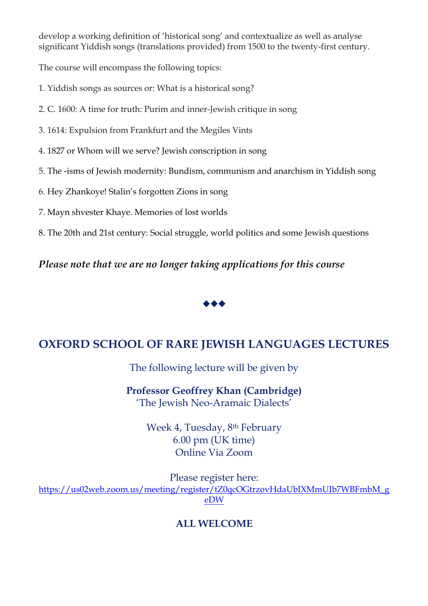develop a working definition of 'historical song' and contextualize as well as analyse significant Yiddish songs (translations provided) from 1500 to the twenty-first century.

The course will encompass the following topics:

- 1. Yiddish songs as sources or: What is a historical song?
- 2. C. 1600: A time for truth: Purim and inner-Jewish critique in song
- 3. 1614: Expulsion from Frankfurt and the Megiles Vints
- 4. 1827 or Whom will we serve? Jewish conscription in song
- 5. The -isms of Jewish modernity: Bundism, communism and anarchism in Yiddish song
- 6. Hey Zhankoye! Stalin's forgotten Zions in song
- 7. Mayn shvester Khaye. Memories of lost worlds
- 8. The 20th and 21st century: Social struggle, world politics and some Jewish questions

*Please note that we are no longer taking applications for this course*



## **OXFORD SCHOOL OF RARE JEWISH LANGUAGES LECTURES**

The following lecture will be given by

**Professor Geoffrey Khan (Cambridge)** 'The Jewish Neo-Aramaic Dialects'

> Week 4, Tuesday, 8th February 6.00 pm (UK time) Online Via Zoom

Please register here: [https://us02web.zoom.us/meeting/register/tZ0qcOGtrzovHdaUbIXMmUIb7WBFmbM\\_g](https://us02web.zoom.us/meeting/register/tZ0qcOGtrzovHdaUbIXMmUIb7WBFmbM_geDW) [eDW](https://us02web.zoom.us/meeting/register/tZ0qcOGtrzovHdaUbIXMmUIb7WBFmbM_geDW)

## **ALL WELCOME**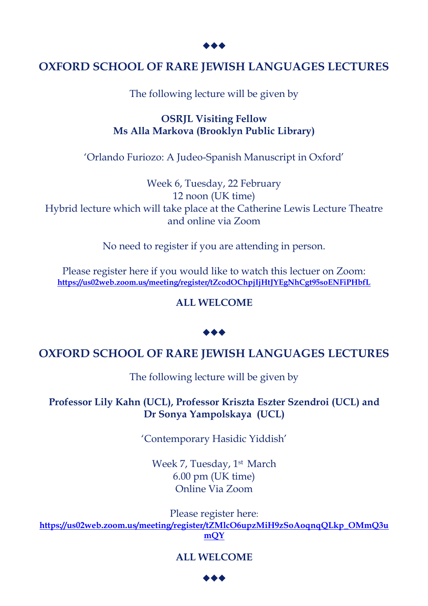## **OXFORD SCHOOL OF RARE JEWISH LANGUAGES LECTURES**

The following lecture will be given by

**OSRJL Visiting Fellow Ms Alla Markova (Brooklyn Public Library)**

'Orlando Furiozo: A Judeo-Spanish Manuscript in Oxford'

Week 6, Tuesday, 22 February 12 noon (UK time) Hybrid lecture which will take place at the Catherine Lewis Lecture Theatre and online via Zoom

No need to register if you are attending in person.

Please register here if you would like to watch this lectuer on Zoom: **<https://us02web.zoom.us/meeting/register/tZcodOChpjIjHtJYEgNhCgt95soENFiPHbfL>**

**ALL WELCOME**

## ◆◆◆

## **OXFORD SCHOOL OF RARE JEWISH LANGUAGES LECTURES**

The following lecture will be given by

**Professor Lily Kahn (UCL), Professor Kriszta Eszter Szendroi (UCL) and Dr Sonya Yampolskaya (UCL)**

'Contemporary Hasidic Yiddish'

Week 7, Tuesday, 1<sup>st</sup> March 6.00 pm (UK time) Online Via Zoom

Please register here:

**[https://us02web.zoom.us/meeting/register/tZMlcO6upzMiH9zSoAoqnqQLkp\\_OMmQ3u](https://us02web.zoom.us/meeting/register/tZMlcO6upzMiH9zSoAoqnqQLkp_OMmQ3umQY) [mQY](https://us02web.zoom.us/meeting/register/tZMlcO6upzMiH9zSoAoqnqQLkp_OMmQ3umQY)**

## **ALL WELCOME**

◆◆◆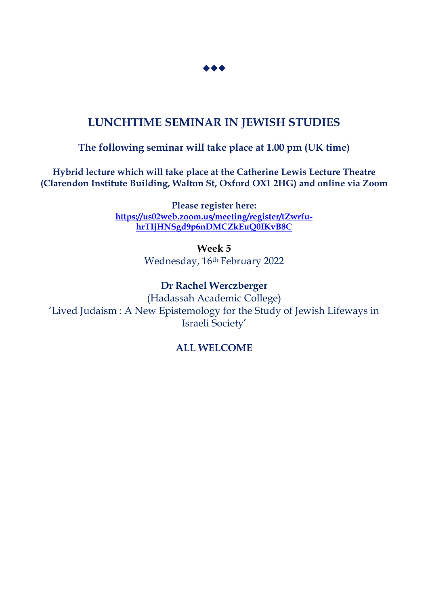

## **LUNCHTIME SEMINAR IN JEWISH STUDIES**

## **The following seminar will take place at 1.00 pm (UK time)**

**Hybrid lecture which will take place at the Catherine Lewis Lecture Theatre (Clarendon Institute Building, Walton St, Oxford OX1 2HG) and online via Zoom**

> **Please register here: [https://us02web.zoom.us/meeting/register/tZwrfu](https://us02web.zoom.us/meeting/register/tZwrfu-hrTIjHNSgd9p6nDMCZkEuQ0IKvB8C)[hrTIjHNSgd9p6nDMCZkEuQ0IKvB8C](https://us02web.zoom.us/meeting/register/tZwrfu-hrTIjHNSgd9p6nDMCZkEuQ0IKvB8C)**

> > **Week 5** Wednesday, 16th February 2022

**Dr Rachel Werczberger** (Hadassah Academic College) 'Lived Judaism : A New Epistemology for the Study of Jewish Lifeways in Israeli Society'

## **ALL WELCOME**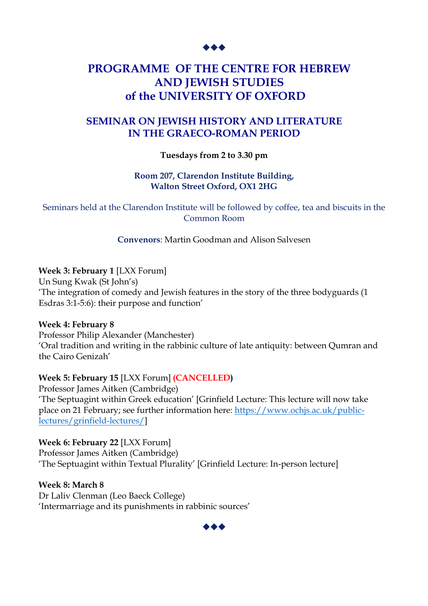## **PROGRAMME OF THE CENTRE FOR HEBREW AND JEWISH STUDIES of the UNIVERSITY OF OXFORD**

## **SEMINAR ON JEWISH HISTORY AND LITERATURE IN THE GRAECO-ROMAN PERIOD**

#### **Tuesdays from 2 to 3.30 pm**

#### **Room 207, Clarendon Institute Building, Walton Street Oxford, OX1 2HG**

Seminars held at the Clarendon Institute will be followed by coffee, tea and biscuits in the Common Room

**Convenors**: Martin Goodman and Alison Salvesen

#### **Week 3: February 1** [LXX Forum]

Un Sung Kwak (St John's) 'The integration of comedy and Jewish features in the story of the three bodyguards (1 Esdras 3:1-5:6): their purpose and function'

#### **Week 4: February 8**

Professor Philip Alexander (Manchester) 'Oral tradition and writing in the rabbinic culture of late antiquity: between Qumran and the Cairo Genizah'

## **Week 5: February 15** [LXX Forum] **(CANCELLED)**

Professor James Aitken (Cambridge) 'The Septuagint within Greek education' [Grinfield Lecture: This lecture will now take place on 21 February; see further information here: [https://www.ochjs.ac.uk/public](https://www.ochjs.ac.uk/public-lectures/grinfield-lectures/)[lectures/grinfield-lectures/\]](https://www.ochjs.ac.uk/public-lectures/grinfield-lectures/)

**Week 6: February 22** [LXX Forum] Professor James Aitken (Cambridge) 'The Septuagint within Textual Plurality' [Grinfield Lecture: In-person lecture]

**Week 8: March 8**

Dr Laliv Clenman (Leo Baeck College) 'Intermarriage and its punishments in rabbinic sources'

◆◆◆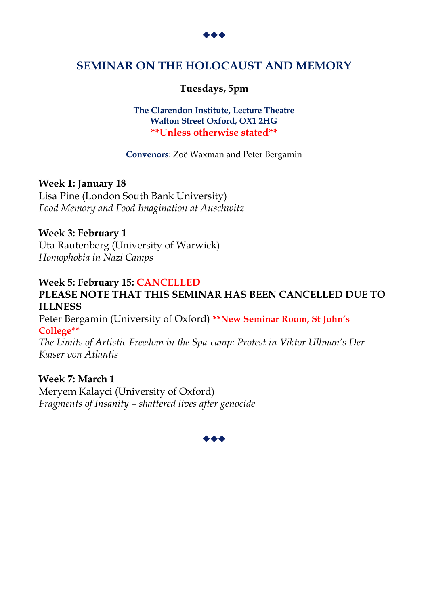

## **SEMINAR ON THE HOLOCAUST AND MEMORY**

## **Tuesdays, 5pm**

#### **The Clarendon Institute, Lecture Theatre Walton Street Oxford, OX1 2HG \*\*Unless otherwise stated\*\***

**Convenors**: Zoë Waxman and Peter Bergamin

#### **Week 1: January 18**

Lisa Pine (London South Bank University) *Food Memory and Food Imagination at Auschwitz*

#### **Week 3: February 1**

Uta Rautenberg (University of Warwick) *Homophobia in Nazi Camps*

## **Week 5: February 15: CANCELLED**

## **PLEASE NOTE THAT THIS SEMINAR HAS BEEN CANCELLED DUE TO ILLNESS**

Peter Bergamin (University of Oxford) **\*\*New Seminar Room, St John's College\*\***

*The Limits of Artistic Freedom in the Spa-camp: Protest in Viktor Ullman's Der Kaiser von Atlantis*

#### **Week 7: March 1**

Meryem Kalayci (University of Oxford) *Fragments of Insanity – shattered lives after genocide*

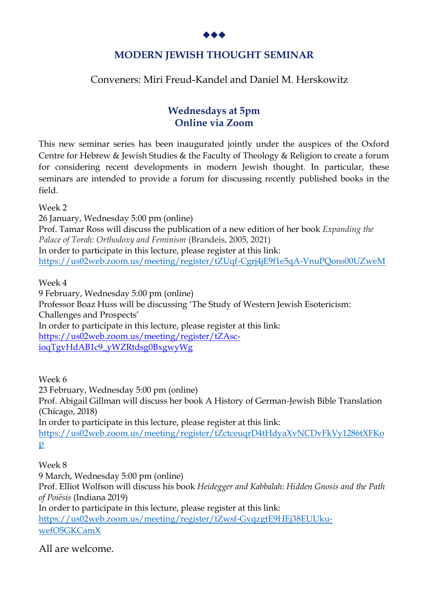

## **MODERN JEWISH THOUGHT SEMINAR**

## Conveners: Miri Freud-Kandel and Daniel M. Herskowitz

## **Wednesdays at 5pm Online via Zoom**

This new seminar series has been inaugurated jointly under the auspices of the Oxford Centre for Hebrew & Jewish Studies & the Faculty of Theology & Religion to create a forum for considering recent developments in modern Jewish thought. In particular, these seminars are intended to provide a forum for discussing recently published books in the field.

Week 2

26 January, Wednesday 5:00 pm (online) Prof. Tamar Ross will discuss the publication of a new edition of her book *Expanding the Palace of Torah: Orthodoxy and Feminism* (Brandeis, 2005, 2021) In order to participate in this lecture, please register at this link: <https://us02web.zoom.us/meeting/register/tZUqf-Cgrj4jE9f1e5qA-VnuPQons00UZweM>

Week 4

9 February, Wednesday 5:00 pm (online)

Professor Boaz Huss will be discussing 'The Study of Western Jewish Esotericism: Challenges and Prospects' In order to participate in this lecture, please register at this link: [https://us02web.zoom.us/meeting/register/tZAsc-](https://us02web.zoom.us/meeting/register/tZAsc-ioqTgvHdAB1c9_yWZRtdsg0BxgwyWg)

[ioqTgvHdAB1c9\\_yWZRtdsg0BxgwyWg](https://us02web.zoom.us/meeting/register/tZAsc-ioqTgvHdAB1c9_yWZRtdsg0BxgwyWg)

Week 6 23 February, Wednesday 5:00 pm (online) Prof. Abigail Gillman will discuss her book A History of German-Jewish Bible Translation (Chicago, 2018) In order to participate in this lecture, please register at this link: [https://us02web.zoom.us/meeting/register/tZctceuqrD4tHdyaXvNCDvFkVy1286tXFKo](https://us02web.zoom.us/meeting/register/tZctceuqrD4tHdyaXvNCDvFkVy1286tXFKop) [p](https://us02web.zoom.us/meeting/register/tZctceuqrD4tHdyaXvNCDvFkVy1286tXFKop)

Week 8

9 March, Wednesday 5:00 pm (online) Prof. Elliot Wolfson will discuss his book *Heidegger and Kabbalah: Hidden Gnosis and the Path of Poiēsis* (Indiana 2019) In order to participate in this lecture, please register at this link: [https://us02web.zoom.us/meeting/register/tZwsf-GvqzgtE9HEj38EUUku](https://us02web.zoom.us/meeting/register/tZwsf-GvqzgtE9HEj38EUUku-wefO5GKCamX)[wefO5GKCamX](https://us02web.zoom.us/meeting/register/tZwsf-GvqzgtE9HEj38EUUku-wefO5GKCamX)

All are welcome.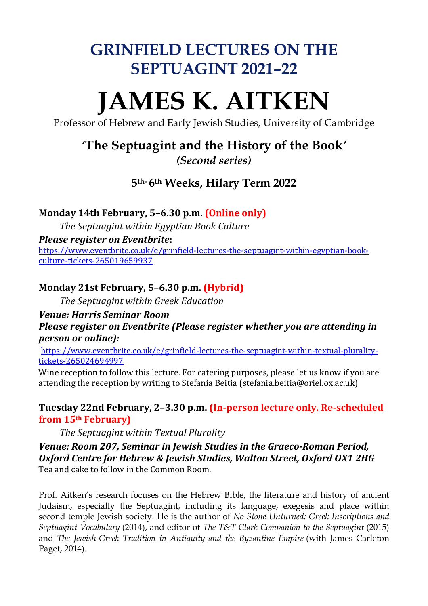## **GRINFIELD LECTURES ON THE SEPTUAGINT 2021–22**

# **JAMES K. AITKEN**

Professor of Hebrew and Early Jewish Studies, University of Cambridge

## *'***The Septuagint and the History of the Book***'*

*(Second series)*

## **5th- 6th Weeks, Hilary Term 2022**

## **Monday 14th February, 5–6.30 p.m. (Online only)**

*The Septuagint within Egyptian Book Culture*

## *Please register on Eventbrite***:**

[https://www.eventbrite.co.uk/e/grinfield-lectures-the-septuagint-within-egyptian-book](https://www.eventbrite.co.uk/e/grinfield-lectures-the-septuagint-within-egyptian-book-culture-tickets-265019659937)[culture-tickets-265019659937](https://www.eventbrite.co.uk/e/grinfield-lectures-the-septuagint-within-egyptian-book-culture-tickets-265019659937)

## **Monday 21st February, 5–6.30 p.m. (Hybrid)**

*The Septuagint within Greek Education*

## *Venue: Harris Seminar Room Please register on Eventbrite (Please register whether you are attending in person or online):*

[https://www.eventbrite.co.uk/e/grinfield-lectures-the-septuagint-within-textual-plurality](https://www.eventbrite.co.uk/e/grinfield-lectures-the-septuagint-within-textual-plurality-tickets-265024694997)[tickets-265024694997](https://www.eventbrite.co.uk/e/grinfield-lectures-the-septuagint-within-textual-plurality-tickets-265024694997)

Wine reception to follow this lecture. For catering purposes, please let us know if you are attending the reception by writing to Stefania Beitia (stefania.beitia@oriel.ox.ac.uk)

## **Tuesday 22nd February, 2–3.30 p.m. (In-person lecture only. Re-scheduled from 15th February)**

*The Septuagint within Textual Plurality*

## *Venue: Room 207, Seminar in Jewish Studies in the Graeco-Roman Period, Oxford Centre for Hebrew & Jewish Studies, Walton Street, Oxford OX1 2HG*  Tea and cake to follow in the Common Room.

Prof. Aitken's research focuses on the Hebrew Bible, the literature and history of ancient Judaism, especially the Septuagint, including its language, exegesis and place within second temple Jewish society. He is the author of *No Stone Unturned: Greek Inscriptions and Septuagint Vocabulary* (2014), and editor of *The T&T Clark Companion to the Septuagint* (2015) and *The Jewish-Greek Tradition in Antiquity and the Byzantine Empire* (with James Carleton Paget, 2014).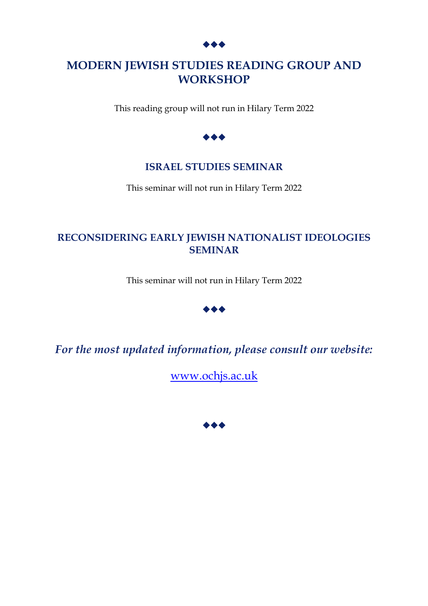## **MODERN JEWISH STUDIES READING GROUP AND WORKSHOP**

This reading group will not run in Hilary Term 2022



## **ISRAEL STUDIES SEMINAR**

This seminar will not run in Hilary Term 2022

## **RECONSIDERING EARLY JEWISH NATIONALIST IDEOLOGIES SEMINAR**

This seminar will not run in Hilary Term 2022



*For the most updated information, please consult our website:*

[www.ochjs.ac.uk](http://www.ochjs.ac.uk/)